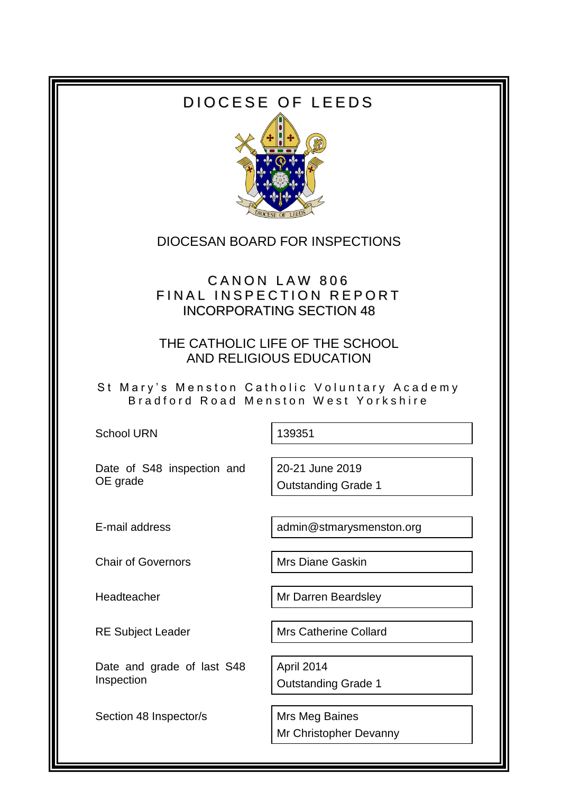# DIOCESE OF LEEDS



### DIOCESAN BOARD FOR INSPECTIONS

## CANON LAW 806 FINAL INSPECTION REPORT INCORPORATING SECTION 48

THE CATHOLIC LIFE OF THE SCHOOL AND RELIGIOUS EDUCATION

St Mary's Menston Catholic Voluntary Academy Bradford Road Menston West Yorkshire

School URN 139351

Date of S48 inspection and OE grade

20-21 June 2019 Outstanding Grade 1

E-mail address and admin@stmarysmenston.org

Chair of Governors Mrs Diane Gaskin

Headteacher Mr Darren Beardsley

Date and grade of last S48 Inspection

Section 48 Inspector/s Mrs Meg Baines

RE Subject Leader Mrs Catherine Collard

April 2014 Outstanding Grade 1

Mr Christopher Devanny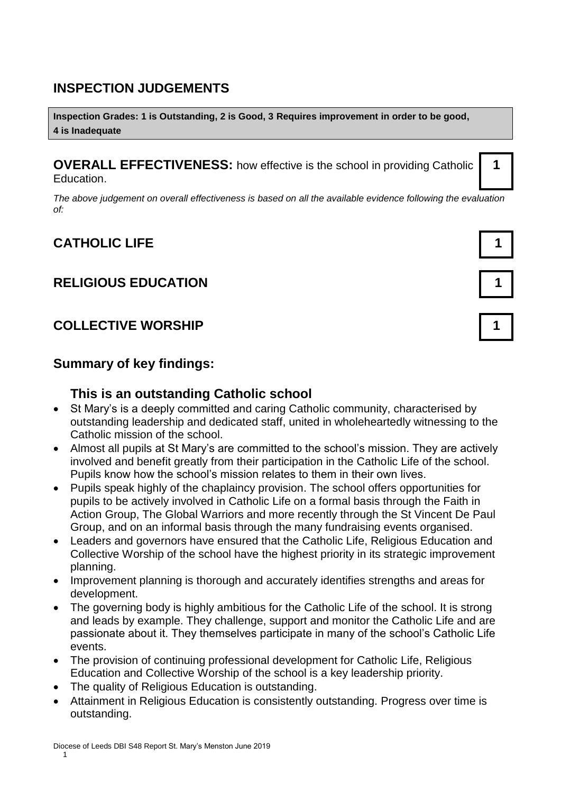## **INSPECTION JUDGEMENTS**

**Inspection Grades: 1 is Outstanding, 2 is Good, 3 Requires improvement in order to be good, 4 is Inadequate**

**OVERALL EFFECTIVENESS:** how effective is the school in providing Catholic Education.

*The above judgement on overall effectiveness is based on all the available evidence following the evaluation of:*

# **CATHOLIC LIFE 1**

## **RELIGIOUS EDUCATION 1**

## **COLLECTIVE WORSHIP 1**

#### **Summary of key findings:**

#### **This is an outstanding Catholic school**

- St Mary's is a deeply committed and caring Catholic community, characterised by outstanding leadership and dedicated staff, united in wholeheartedly witnessing to the Catholic mission of the school.
- Almost all pupils at St Mary's are committed to the school's mission. They are actively involved and benefit greatly from their participation in the Catholic Life of the school. Pupils know how the school's mission relates to them in their own lives.
- Pupils speak highly of the chaplaincy provision. The school offers opportunities for pupils to be actively involved in Catholic Life on a formal basis through the Faith in Action Group, The Global Warriors and more recently through the St Vincent De Paul Group, and on an informal basis through the many fundraising events organised.
- Leaders and governors have ensured that the Catholic Life, Religious Education and Collective Worship of the school have the highest priority in its strategic improvement planning.
- Improvement planning is thorough and accurately identifies strengths and areas for development.
- The governing body is highly ambitious for the Catholic Life of the school. It is strong and leads by example. They challenge, support and monitor the Catholic Life and are passionate about it. They themselves participate in many of the school's Catholic Life events.
- The provision of continuing professional development for Catholic Life, Religious Education and Collective Worship of the school is a key leadership priority.
- The quality of Religious Education is outstanding.
- Attainment in Religious Education is consistently outstanding. Progress over time is outstanding.



**1**

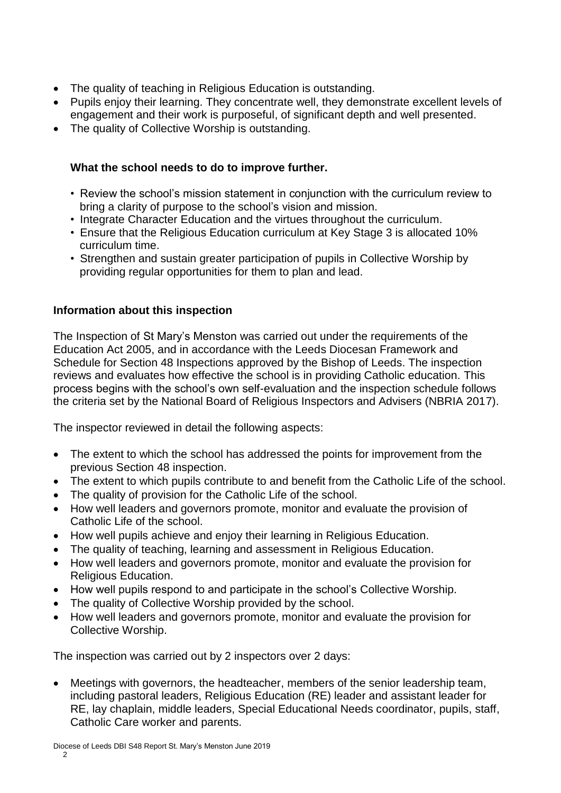- The quality of teaching in Religious Education is outstanding.
- Pupils enjoy their learning. They concentrate well, they demonstrate excellent levels of engagement and their work is purposeful, of significant depth and well presented.
- The quality of Collective Worship is outstanding.

#### **What the school needs to do to improve further.**

- Review the school's mission statement in conjunction with the curriculum review to bring a clarity of purpose to the school's vision and mission.
- Integrate Character Education and the virtues throughout the curriculum.
- Ensure that the Religious Education curriculum at Key Stage 3 is allocated 10% curriculum time.
- Strengthen and sustain greater participation of pupils in Collective Worship by providing regular opportunities for them to plan and lead.

#### **Information about this inspection**

The Inspection of St Mary's Menston was carried out under the requirements of the Education Act 2005, and in accordance with the Leeds Diocesan Framework and Schedule for Section 48 Inspections approved by the Bishop of Leeds. The inspection reviews and evaluates how effective the school is in providing Catholic education. This process begins with the school's own self-evaluation and the inspection schedule follows the criteria set by the National Board of Religious Inspectors and Advisers (NBRIA 2017).

The inspector reviewed in detail the following aspects:

- The extent to which the school has addressed the points for improvement from the previous Section 48 inspection.
- The extent to which pupils contribute to and benefit from the Catholic Life of the school.
- The quality of provision for the Catholic Life of the school.
- How well leaders and governors promote, monitor and evaluate the provision of Catholic Life of the school.
- How well pupils achieve and enjoy their learning in Religious Education.
- The quality of teaching, learning and assessment in Religious Education.
- How well leaders and governors promote, monitor and evaluate the provision for Religious Education.
- How well pupils respond to and participate in the school's Collective Worship.
- The quality of Collective Worship provided by the school.
- How well leaders and governors promote, monitor and evaluate the provision for Collective Worship.

The inspection was carried out by 2 inspectors over 2 days:

 Meetings with governors, the headteacher, members of the senior leadership team, including pastoral leaders, Religious Education (RE) leader and assistant leader for RE, lay chaplain, middle leaders, Special Educational Needs coordinator, pupils, staff, Catholic Care worker and parents.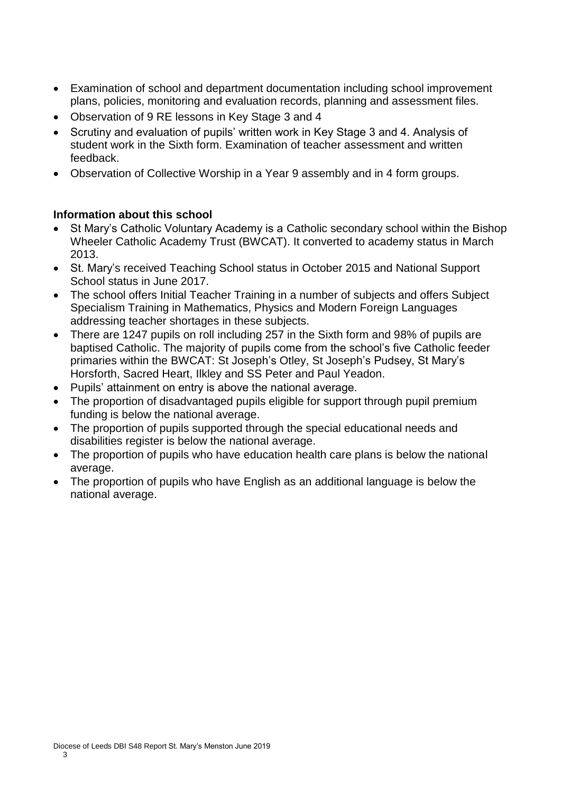- Examination of school and department documentation including school improvement plans, policies, monitoring and evaluation records, planning and assessment files.
- Observation of 9 RE lessons in Key Stage 3 and 4
- Scrutiny and evaluation of pupils' written work in Key Stage 3 and 4. Analysis of student work in the Sixth form. Examination of teacher assessment and written feedback.
- Observation of Collective Worship in a Year 9 assembly and in 4 form groups.

#### **Information about this school**

- St Mary's Catholic Voluntary Academy is a Catholic secondary school within the Bishop Wheeler Catholic Academy Trust (BWCAT). It converted to academy status in March 2013.
- St. Mary's received Teaching School status in October 2015 and National Support School status in June 2017.
- The school offers Initial Teacher Training in a number of subiects and offers Subiect Specialism Training in Mathematics, Physics and Modern Foreign Languages addressing teacher shortages in these subjects.
- There are 1247 pupils on roll including 257 in the Sixth form and 98% of pupils are baptised Catholic. The majority of pupils come from the school's five Catholic feeder primaries within the BWCAT: St Joseph's Otley, St Joseph's Pudsey, St Mary's Horsforth, Sacred Heart, Ilkley and SS Peter and Paul Yeadon.
- Pupils' attainment on entry is above the national average.
- The proportion of disadvantaged pupils eligible for support through pupil premium funding is below the national average.
- The proportion of pupils supported through the special educational needs and disabilities register is below the national average.
- The proportion of pupils who have education health care plans is below the national average.
- The proportion of pupils who have English as an additional language is below the national average.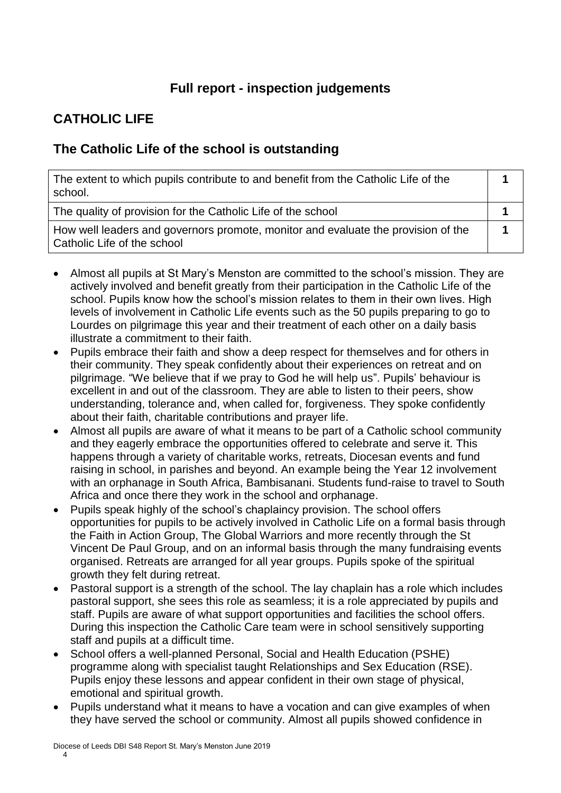## **Full report - inspection judgements**

# **CATHOLIC LIFE**

### **The Catholic Life of the school is outstanding**

| The extent to which pupils contribute to and benefit from the Catholic Life of the<br>school.                    |  |
|------------------------------------------------------------------------------------------------------------------|--|
| The quality of provision for the Catholic Life of the school                                                     |  |
| How well leaders and governors promote, monitor and evaluate the provision of the<br>Catholic Life of the school |  |

- Almost all pupils at St Mary's Menston are committed to the school's mission. They are actively involved and benefit greatly from their participation in the Catholic Life of the school. Pupils know how the school's mission relates to them in their own lives. High levels of involvement in Catholic Life events such as the 50 pupils preparing to go to Lourdes on pilgrimage this year and their treatment of each other on a daily basis illustrate a commitment to their faith.
- Pupils embrace their faith and show a deep respect for themselves and for others in their community. They speak confidently about their experiences on retreat and on pilgrimage. "We believe that if we pray to God he will help us". Pupils' behaviour is excellent in and out of the classroom. They are able to listen to their peers, show understanding, tolerance and, when called for, forgiveness. They spoke confidently about their faith, charitable contributions and prayer life.
- Almost all pupils are aware of what it means to be part of a Catholic school community and they eagerly embrace the opportunities offered to celebrate and serve it. This happens through a variety of charitable works, retreats, Diocesan events and fund raising in school, in parishes and beyond. An example being the Year 12 involvement with an orphanage in South Africa, Bambisanani. Students fund-raise to travel to South Africa and once there they work in the school and orphanage.
- Pupils speak highly of the school's chaplaincy provision. The school offers opportunities for pupils to be actively involved in Catholic Life on a formal basis through the Faith in Action Group, The Global Warriors and more recently through the St Vincent De Paul Group, and on an informal basis through the many fundraising events organised. Retreats are arranged for all year groups. Pupils spoke of the spiritual growth they felt during retreat.
- Pastoral support is a strength of the school. The lay chaplain has a role which includes pastoral support, she sees this role as seamless; it is a role appreciated by pupils and staff. Pupils are aware of what support opportunities and facilities the school offers. During this inspection the Catholic Care team were in school sensitively supporting staff and pupils at a difficult time.
- School offers a well-planned Personal, Social and Health Education (PSHE) programme along with specialist taught Relationships and Sex Education (RSE). Pupils enjoy these lessons and appear confident in their own stage of physical, emotional and spiritual growth.
- Pupils understand what it means to have a vocation and can give examples of when they have served the school or community. Almost all pupils showed confidence in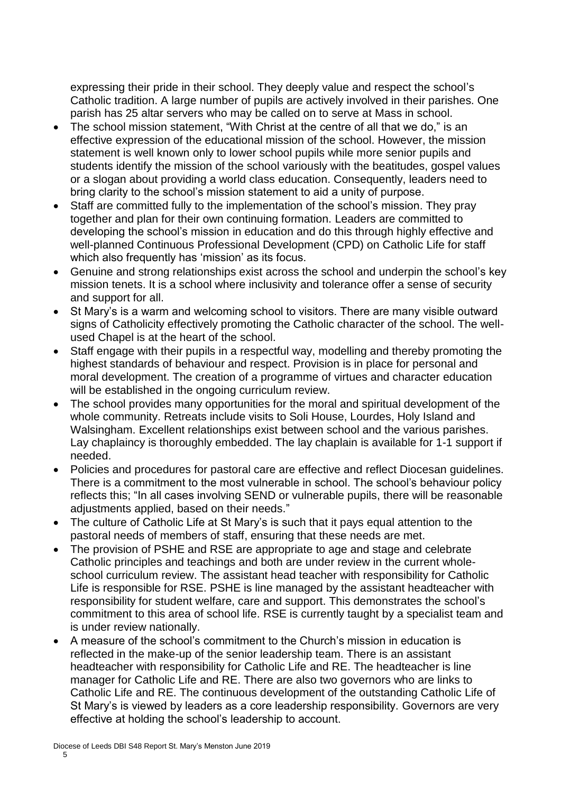expressing their pride in their school. They deeply value and respect the school's Catholic tradition. A large number of pupils are actively involved in their parishes. One parish has 25 altar servers who may be called on to serve at Mass in school.

- The school mission statement, "With Christ at the centre of all that we do," is an effective expression of the educational mission of the school. However, the mission statement is well known only to lower school pupils while more senior pupils and students identify the mission of the school variously with the beatitudes, gospel values or a slogan about providing a world class education. Consequently, leaders need to bring clarity to the school's mission statement to aid a unity of purpose.
- Staff are committed fully to the implementation of the school's mission. They pray together and plan for their own continuing formation. Leaders are committed to developing the school's mission in education and do this through highly effective and well-planned Continuous Professional Development (CPD) on Catholic Life for staff which also frequently has 'mission' as its focus.
- Genuine and strong relationships exist across the school and underpin the school's key mission tenets. It is a school where inclusivity and tolerance offer a sense of security and support for all.
- St Mary's is a warm and welcoming school to visitors. There are many visible outward signs of Catholicity effectively promoting the Catholic character of the school. The wellused Chapel is at the heart of the school.
- Staff engage with their pupils in a respectful way, modelling and thereby promoting the highest standards of behaviour and respect. Provision is in place for personal and moral development. The creation of a programme of virtues and character education will be established in the ongoing curriculum review.
- The school provides many opportunities for the moral and spiritual development of the whole community. Retreats include visits to Soli House, Lourdes, Holy Island and Walsingham. Excellent relationships exist between school and the various parishes. Lay chaplaincy is thoroughly embedded. The lay chaplain is available for 1-1 support if needed.
- Policies and procedures for pastoral care are effective and reflect Diocesan guidelines. There is a commitment to the most vulnerable in school. The school's behaviour policy reflects this; "In all cases involving SEND or vulnerable pupils, there will be reasonable adjustments applied, based on their needs."
- The culture of Catholic Life at St Mary's is such that it pays equal attention to the pastoral needs of members of staff, ensuring that these needs are met.
- The provision of PSHE and RSE are appropriate to age and stage and celebrate Catholic principles and teachings and both are under review in the current wholeschool curriculum review. The assistant head teacher with responsibility for Catholic Life is responsible for RSE. PSHE is line managed by the assistant headteacher with responsibility for student welfare, care and support. This demonstrates the school's commitment to this area of school life. RSE is currently taught by a specialist team and is under review nationally.
- A measure of the school's commitment to the Church's mission in education is reflected in the make-up of the senior leadership team. There is an assistant headteacher with responsibility for Catholic Life and RE. The headteacher is line manager for Catholic Life and RE. There are also two governors who are links to Catholic Life and RE. The continuous development of the outstanding Catholic Life of St Mary's is viewed by leaders as a core leadership responsibility. Governors are very effective at holding the school's leadership to account.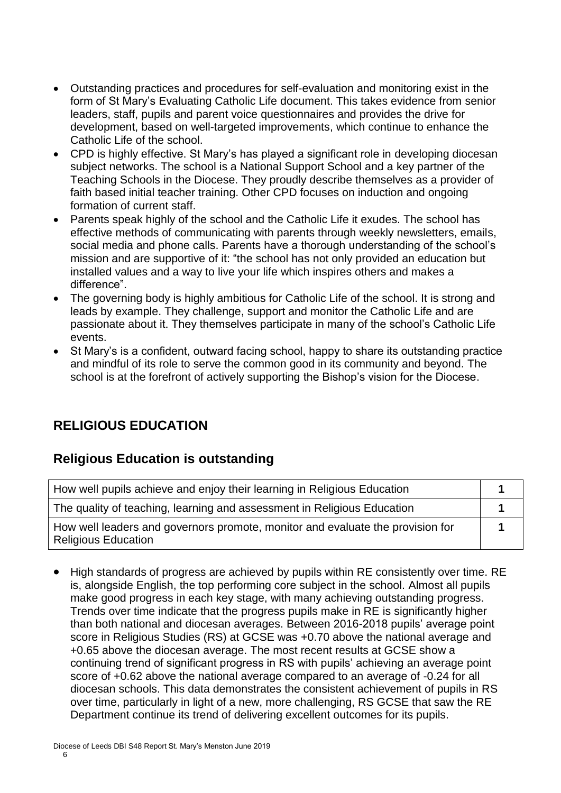- Outstanding practices and procedures for self-evaluation and monitoring exist in the form of St Mary's Evaluating Catholic Life document. This takes evidence from senior leaders, staff, pupils and parent voice questionnaires and provides the drive for development, based on well-targeted improvements, which continue to enhance the Catholic Life of the school.
- CPD is highly effective. St Mary's has played a significant role in developing diocesan subject networks. The school is a National Support School and a key partner of the Teaching Schools in the Diocese. They proudly describe themselves as a provider of faith based initial teacher training. Other CPD focuses on induction and ongoing formation of current staff.
- Parents speak highly of the school and the Catholic Life it exudes. The school has effective methods of communicating with parents through weekly newsletters, emails, social media and phone calls. Parents have a thorough understanding of the school's mission and are supportive of it: "the school has not only provided an education but installed values and a way to live your life which inspires others and makes a difference".
- The governing body is highly ambitious for Catholic Life of the school. It is strong and leads by example. They challenge, support and monitor the Catholic Life and are passionate about it. They themselves participate in many of the school's Catholic Life events.
- St Mary's is a confident, outward facing school, happy to share its outstanding practice and mindful of its role to serve the common good in its community and beyond. The school is at the forefront of actively supporting the Bishop's vision for the Diocese.

# **RELIGIOUS EDUCATION**

## **Religious Education is outstanding**

| How well pupils achieve and enjoy their learning in Religious Education                                      |  |
|--------------------------------------------------------------------------------------------------------------|--|
| The quality of teaching, learning and assessment in Religious Education                                      |  |
| How well leaders and governors promote, monitor and evaluate the provision for<br><b>Religious Education</b> |  |

 High standards of progress are achieved by pupils within RE consistently over time. RE is, alongside English, the top performing core subject in the school. Almost all pupils make good progress in each key stage, with many achieving outstanding progress. Trends over time indicate that the progress pupils make in RE is significantly higher than both national and diocesan averages. Between 2016-2018 pupils' average point score in Religious Studies (RS) at GCSE was +0.70 above the national average and +0.65 above the diocesan average. The most recent results at GCSE show a continuing trend of significant progress in RS with pupils' achieving an average point score of +0.62 above the national average compared to an average of -0.24 for all diocesan schools. This data demonstrates the consistent achievement of pupils in RS over time, particularly in light of a new, more challenging, RS GCSE that saw the RE Department continue its trend of delivering excellent outcomes for its pupils.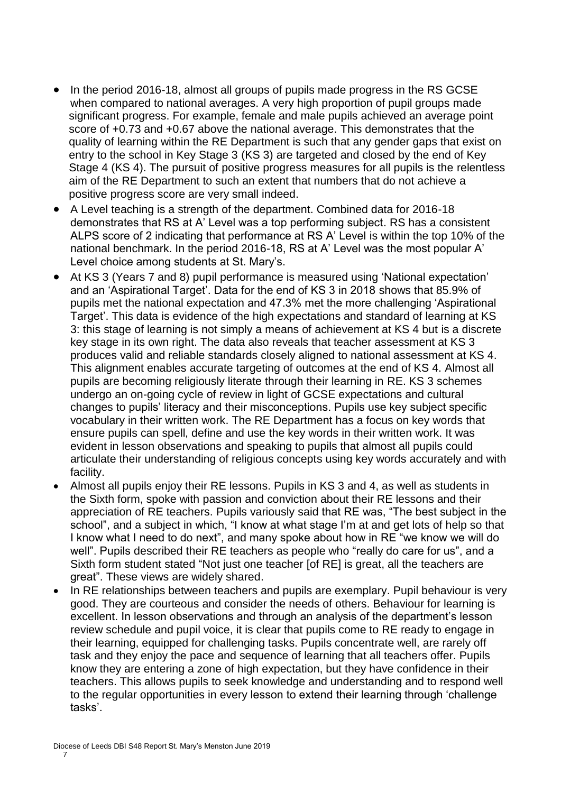- In the period 2016-18, almost all groups of pupils made progress in the RS GCSE when compared to national averages. A very high proportion of pupil groups made significant progress. For example, female and male pupils achieved an average point score of +0.73 and +0.67 above the national average. This demonstrates that the quality of learning within the RE Department is such that any gender gaps that exist on entry to the school in Key Stage 3 (KS 3) are targeted and closed by the end of Key Stage 4 (KS 4). The pursuit of positive progress measures for all pupils is the relentless aim of the RE Department to such an extent that numbers that do not achieve a positive progress score are very small indeed.
- A Level teaching is a strength of the department. Combined data for 2016-18 demonstrates that RS at A' Level was a top performing subject. RS has a consistent ALPS score of 2 indicating that performance at RS A' Level is within the top 10% of the national benchmark. In the period 2016-18, RS at A' Level was the most popular A' Level choice among students at St. Mary's.
- At KS 3 (Years 7 and 8) pupil performance is measured using 'National expectation' and an 'Aspirational Target'. Data for the end of KS 3 in 2018 shows that 85.9% of pupils met the national expectation and 47.3% met the more challenging 'Aspirational Target'. This data is evidence of the high expectations and standard of learning at KS 3: this stage of learning is not simply a means of achievement at KS 4 but is a discrete key stage in its own right. The data also reveals that teacher assessment at KS 3 produces valid and reliable standards closely aligned to national assessment at KS 4. This alignment enables accurate targeting of outcomes at the end of KS 4. Almost all pupils are becoming religiously literate through their learning in RE. KS 3 schemes undergo an on-going cycle of review in light of GCSE expectations and cultural changes to pupils' literacy and their misconceptions. Pupils use key subject specific vocabulary in their written work. The RE Department has a focus on key words that ensure pupils can spell, define and use the key words in their written work. It was evident in lesson observations and speaking to pupils that almost all pupils could articulate their understanding of religious concepts using key words accurately and with facility.
- Almost all pupils enjoy their RE lessons. Pupils in KS 3 and 4, as well as students in the Sixth form, spoke with passion and conviction about their RE lessons and their appreciation of RE teachers. Pupils variously said that RE was, "The best subject in the school", and a subject in which, "I know at what stage I'm at and get lots of help so that I know what I need to do next", and many spoke about how in RE "we know we will do well". Pupils described their RE teachers as people who "really do care for us", and a Sixth form student stated "Not just one teacher [of RE] is great, all the teachers are great". These views are widely shared.
- In RE relationships between teachers and pupils are exemplary. Pupil behaviour is very good. They are courteous and consider the needs of others. Behaviour for learning is excellent. In lesson observations and through an analysis of the department's lesson review schedule and pupil voice, it is clear that pupils come to RE ready to engage in their learning, equipped for challenging tasks. Pupils concentrate well, are rarely off task and they enjoy the pace and sequence of learning that all teachers offer. Pupils know they are entering a zone of high expectation, but they have confidence in their teachers. This allows pupils to seek knowledge and understanding and to respond well to the regular opportunities in every lesson to extend their learning through 'challenge tasks'.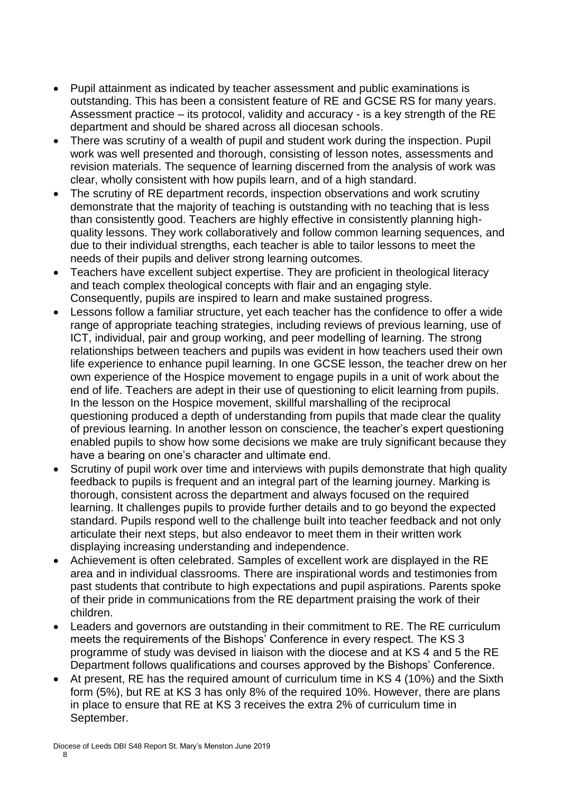- Pupil attainment as indicated by teacher assessment and public examinations is outstanding. This has been a consistent feature of RE and GCSE RS for many years. Assessment practice – its protocol, validity and accuracy - is a key strength of the RE department and should be shared across all diocesan schools.
- There was scrutiny of a wealth of pupil and student work during the inspection. Pupil work was well presented and thorough, consisting of lesson notes, assessments and revision materials. The sequence of learning discerned from the analysis of work was clear, wholly consistent with how pupils learn, and of a high standard.
- The scrutiny of RE department records, inspection observations and work scrutiny demonstrate that the majority of teaching is outstanding with no teaching that is less than consistently good. Teachers are highly effective in consistently planning highquality lessons. They work collaboratively and follow common learning sequences, and due to their individual strengths, each teacher is able to tailor lessons to meet the needs of their pupils and deliver strong learning outcomes.
- Teachers have excellent subject expertise. They are proficient in theological literacy and teach complex theological concepts with flair and an engaging style. Consequently, pupils are inspired to learn and make sustained progress.
- Lessons follow a familiar structure, yet each teacher has the confidence to offer a wide range of appropriate teaching strategies, including reviews of previous learning, use of ICT, individual, pair and group working, and peer modelling of learning. The strong relationships between teachers and pupils was evident in how teachers used their own life experience to enhance pupil learning. In one GCSE lesson, the teacher drew on her own experience of the Hospice movement to engage pupils in a unit of work about the end of life. Teachers are adept in their use of questioning to elicit learning from pupils. In the lesson on the Hospice movement, skillful marshalling of the reciprocal questioning produced a depth of understanding from pupils that made clear the quality of previous learning. In another lesson on conscience, the teacher's expert questioning enabled pupils to show how some decisions we make are truly significant because they have a bearing on one's character and ultimate end.
- Scrutiny of pupil work over time and interviews with pupils demonstrate that high quality feedback to pupils is frequent and an integral part of the learning journey. Marking is thorough, consistent across the department and always focused on the required learning. It challenges pupils to provide further details and to go beyond the expected standard. Pupils respond well to the challenge built into teacher feedback and not only articulate their next steps, but also endeavor to meet them in their written work displaying increasing understanding and independence.
- Achievement is often celebrated. Samples of excellent work are displayed in the RE area and in individual classrooms. There are inspirational words and testimonies from past students that contribute to high expectations and pupil aspirations. Parents spoke of their pride in communications from the RE department praising the work of their children.
- Leaders and governors are outstanding in their commitment to RE. The RE curriculum meets the requirements of the Bishops' Conference in every respect. The KS 3 programme of study was devised in liaison with the diocese and at KS 4 and 5 the RE Department follows qualifications and courses approved by the Bishops' Conference.
- At present, RE has the required amount of curriculum time in KS 4 (10%) and the Sixth form (5%), but RE at KS 3 has only 8% of the required 10%. However, there are plans in place to ensure that RE at KS 3 receives the extra 2% of curriculum time in September.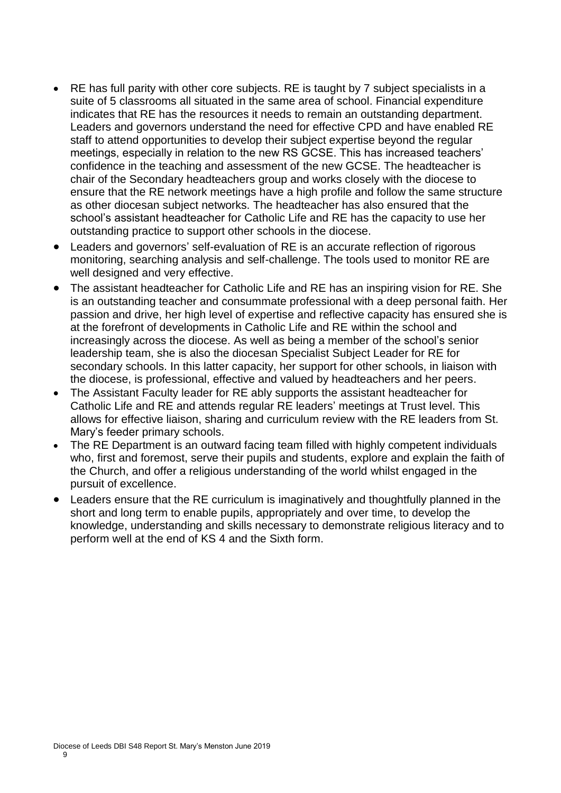- RE has full parity with other core subjects. RE is taught by 7 subject specialists in a suite of 5 classrooms all situated in the same area of school. Financial expenditure indicates that RE has the resources it needs to remain an outstanding department. Leaders and governors understand the need for effective CPD and have enabled RE staff to attend opportunities to develop their subject expertise beyond the regular meetings, especially in relation to the new RS GCSE. This has increased teachers' confidence in the teaching and assessment of the new GCSE. The headteacher is chair of the Secondary headteachers group and works closely with the diocese to ensure that the RE network meetings have a high profile and follow the same structure as other diocesan subject networks. The headteacher has also ensured that the school's assistant headteacher for Catholic Life and RE has the capacity to use her outstanding practice to support other schools in the diocese.
- Leaders and governors' self-evaluation of RE is an accurate reflection of rigorous monitoring, searching analysis and self-challenge. The tools used to monitor RE are well designed and very effective.
- The assistant headteacher for Catholic Life and RE has an inspiring vision for RE. She is an outstanding teacher and consummate professional with a deep personal faith. Her passion and drive, her high level of expertise and reflective capacity has ensured she is at the forefront of developments in Catholic Life and RE within the school and increasingly across the diocese. As well as being a member of the school's senior leadership team, she is also the diocesan Specialist Subject Leader for RE for secondary schools. In this latter capacity, her support for other schools, in liaison with the diocese, is professional, effective and valued by headteachers and her peers.
- The Assistant Faculty leader for RE ably supports the assistant headteacher for Catholic Life and RE and attends regular RE leaders' meetings at Trust level. This allows for effective liaison, sharing and curriculum review with the RE leaders from St. Mary's feeder primary schools.
- The RE Department is an outward facing team filled with highly competent individuals who, first and foremost, serve their pupils and students, explore and explain the faith of the Church, and offer a religious understanding of the world whilst engaged in the pursuit of excellence.
- Leaders ensure that the RE curriculum is imaginatively and thoughtfully planned in the short and long term to enable pupils, appropriately and over time, to develop the knowledge, understanding and skills necessary to demonstrate religious literacy and to perform well at the end of KS 4 and the Sixth form.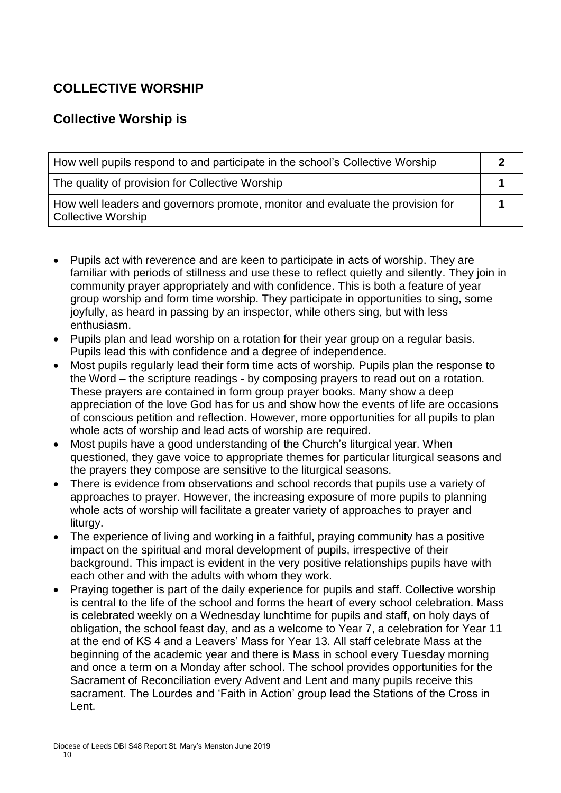# **COLLECTIVE WORSHIP**

# **Collective Worship is**

| How well pupils respond to and participate in the school's Collective Worship                               |  |
|-------------------------------------------------------------------------------------------------------------|--|
| The quality of provision for Collective Worship                                                             |  |
| How well leaders and governors promote, monitor and evaluate the provision for<br><b>Collective Worship</b> |  |

- Pupils act with reverence and are keen to participate in acts of worship. They are familiar with periods of stillness and use these to reflect quietly and silently. They join in community prayer appropriately and with confidence. This is both a feature of year group worship and form time worship. They participate in opportunities to sing, some joyfully, as heard in passing by an inspector, while others sing, but with less enthusiasm.
- Pupils plan and lead worship on a rotation for their year group on a regular basis. Pupils lead this with confidence and a degree of independence.
- Most pupils regularly lead their form time acts of worship. Pupils plan the response to the Word – the scripture readings - by composing prayers to read out on a rotation. These prayers are contained in form group prayer books. Many show a deep appreciation of the love God has for us and show how the events of life are occasions of conscious petition and reflection. However, more opportunities for all pupils to plan whole acts of worship and lead acts of worship are required.
- Most pupils have a good understanding of the Church's liturgical year. When questioned, they gave voice to appropriate themes for particular liturgical seasons and the prayers they compose are sensitive to the liturgical seasons.
- There is evidence from observations and school records that pupils use a variety of approaches to prayer. However, the increasing exposure of more pupils to planning whole acts of worship will facilitate a greater variety of approaches to prayer and liturgy.
- The experience of living and working in a faithful, praying community has a positive impact on the spiritual and moral development of pupils, irrespective of their background. This impact is evident in the very positive relationships pupils have with each other and with the adults with whom they work.
- Praying together is part of the daily experience for pupils and staff. Collective worship is central to the life of the school and forms the heart of every school celebration. Mass is celebrated weekly on a Wednesday lunchtime for pupils and staff, on holy days of obligation, the school feast day, and as a welcome to Year 7, a celebration for Year 11 at the end of KS 4 and a Leavers' Mass for Year 13. All staff celebrate Mass at the beginning of the academic year and there is Mass in school every Tuesday morning and once a term on a Monday after school. The school provides opportunities for the Sacrament of Reconciliation every Advent and Lent and many pupils receive this sacrament. The Lourdes and 'Faith in Action' group lead the Stations of the Cross in Lent.